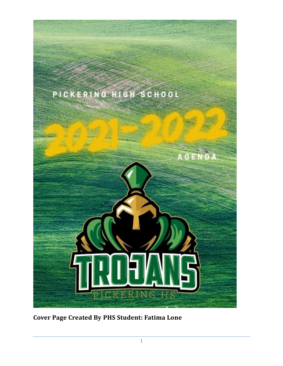

**Cover Page Created By PHS Student: Fatima Lone**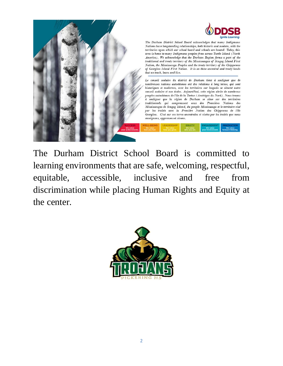

The Durham District School Board is committed to learning environments that are safe, welcoming, respectful, equitable, accessible, inclusive and free from discrimination while placing Human Rights and Equity at the center.

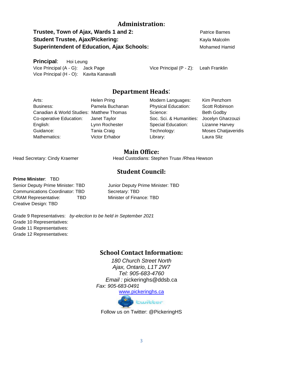### **Administration:**

**Trustee, Town of Ajax, Wards 1 and 2:** Patrice Barnes **Student Trustee, Ajax/Pickering:** Kayla Malcolm Kayla Malcolm **Superintendent of Education, Ajax Schools:** Mohamed Hamid

**Principal**: Hoi Leung Vice Principal (A - G): Jack Page Vice Principal (H - O): Kavita Kanavalli

Vice Principal (P - Z): Leah Franklin

### **Department Heads**:

Arts: Helen Pring Business: Pamela Buchanan Canadian & World Studies: Matthew Thomas Co-operative Education: Janet Taylor English: Lynn Rochester Guidance: Tania Craig Mathematics: Victor Erhabor

Modern Languages: Kim Penzhorn Physical Education: Scott Robinson Science: Beth Godby Soc. Sci. & Humanities: Jocelyn Gharzouzi Special Education: Lizanne Harvey Technology: Moses Chatjaveridis Library: Laura Sliz

### **Main Office:**

Head Secretary: Cindy Kraemer **Head Custodians: Stephen Truax / Rhea Hewson** 

## **Student Council:**

**Prime Minister**: TBD

Communications Coordinator: TBD Secretary: TBD CRAM Representative: TBD Minister of Finance: TBD Creative Design: TBD

Senior Deputy Prime Minister: TBD Junior Deputy Prime Minister: TBD

Grade 9 Representatives: *by-election to be held in September 2021* Grade 10 Representatives: Grade 11 Representatives: Grade 12 Representatives:

### **School Contact Information:**

*180 Church Street North Ajax, Ontario, L1T 2W7 Tel: 905-683-4760 Email :* pickeringhs@ddsb.ca *Fax: 905-683-0491* [www.pickeringhs.ca](http://www.pickeringhs.ca/)



Follow us on Twitter: @PickeringHS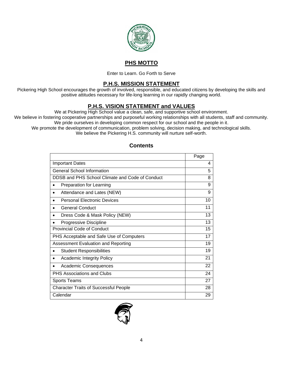

## **PHS MOTTO**

Enter to Learn. Go Forth to Serve

### **P.H.S. MISSION STATEMENT**

Pickering High School encourages the growth of involved, responsible, and educated citizens by developing the skills and positive attitudes necessary for life-long learning in our rapidly changing world.

### **P.H.S. VISION STATEMENT and VALUES**

We at Pickering High School value a clean, safe, and supportive school environment.

We believe in fostering cooperative partnerships and purposeful working relationships with all students, staff and community. We pride ourselves in developing common respect for our school and the people in it.

We promote the development of communication, problem solving, decision making, and technological skills.

We believe the Pickering H.S. community will nurture self-worth.

|                                                 | Page |
|-------------------------------------------------|------|
| <b>Important Dates</b>                          | 4    |
| <b>General School Information</b>               | 5    |
| DDSB and PHS School Climate and Code of Conduct | 8    |
| <b>Preparation for Learning</b>                 | 9    |
| Attendance and Lates (NEW)<br>$\bullet$         | 9    |
| <b>Personal Electronic Devices</b><br>$\bullet$ | 10   |
| <b>General Conduct</b>                          | 11   |
| Dress Code & Mask Policy (NEW)                  | 13   |
| Progressive Discipline                          | 13   |
| Provincial Code of Conduct                      | 15   |
| PHS Acceptable and Safe Use of Computers        | 17   |
| Assessment Evaluation and Reporting             | 19   |
| <b>Student Responsibilities</b>                 | 19   |
| <b>Academic Integrity Policy</b><br>$\bullet$   | 21   |
| Academic Consequences                           | 22   |
| <b>PHS Associations and Clubs</b>               | 24   |
| <b>Sports Teams</b>                             | 27   |
| <b>Character Traits of Successful People</b>    | 28   |
| Calendar                                        | 29   |

### **Contents**

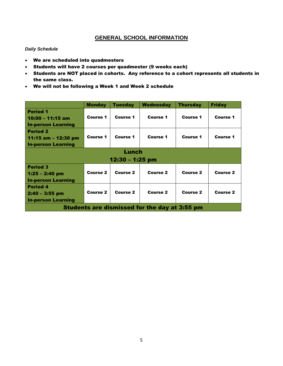### **GENERAL SCHOOL INFORMATION**

#### *Daily Schedule*

- We are scheduled into quadmesters
- Students will have 2 courses per quadmester (9 weeks each)
- Students are NOT placed in cohorts. Any reference to a cohort represents all students in the same class.
- We will not be following a Week 1 and Week 2 schedule

|                                                                     | <b>Monday</b>   | <b>Tuesday</b>  | Wednesday       | <b>Thursday</b> | <b>Friday</b>   |  |
|---------------------------------------------------------------------|-----------------|-----------------|-----------------|-----------------|-----------------|--|
| <b>Period 1</b><br>$10:00 - 11:15$ am<br><b>In-person Learning</b>  | <b>Course 1</b> | <b>Course 1</b> | Course 1        | Course 1        | <b>Course 1</b> |  |
| <b>Period 2</b><br>11:15 am – 12:30 pm<br><b>In-person Learning</b> | <b>Course 1</b> | <b>Course 1</b> | <b>Course 1</b> | Course 1        | <b>Course 1</b> |  |
| Lunch                                                               |                 |                 |                 |                 |                 |  |
| $12:30 - 1:25$ pm                                                   |                 |                 |                 |                 |                 |  |
| <b>Period 3</b><br>$1:25 - 2:40$ pm<br><b>In-person Learning</b>    | Course 2        | Course 2        | <b>Course 2</b> | Course 2        | Course 2        |  |
| <b>Period 4</b><br>$2:40 - 3:55$ pm<br><b>In-person Learning</b>    | <b>Course 2</b> | <b>Course 2</b> | <b>Course 2</b> | <b>Course 2</b> | Course 2        |  |
| <b>Students are dismissed for the day at 3:55 pm</b>                |                 |                 |                 |                 |                 |  |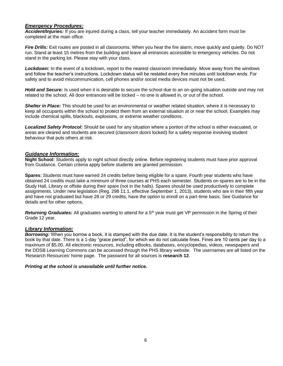#### *Emergency Procedures:*

*Accident/Injuries:* If you are injured during a class, tell your teacher immediately. An accident form must be completed at the main office.

*Fire Drills:* Exit routes are posted in all classrooms. When you hear the fire alarm, move quickly and quietly. Do NOT run. Stand at least 15 metres from the building and leave all entrances accessible to emergency vehicles. Do not stand in the parking lot. Please stay with your class.

*Lockdown:* In the event of a lockdown, report to the nearest classroom immediately. Move away from the windows and follow the teacher's instructions. Lockdown status will be restated every five minutes until lockdown ends. For safety and to avoid miscommunication, cell phones and/or social media devices must not be used.

*Hold and Secure:* Is used when it is desirable to secure the school due to an on-going situation outside and may not related to the school. All door entrances will be locked – no one is allowed in, or out of the school.

*Shelter in Place:* This should be used for an environmental or weather related situation, where it is necessary to keep all occupants within the school to protect them from an external situation at or near the school. Examples may include chemical spills, blackouts, explosions, or extreme weather conditions.

*Localized Safety Protocol:* Should be used for any situation where a portion of the school is either evacuated, or areas are cleared and students are secured (classroom doors locked) for a safety response involving student behaviour that puts others at risk.

#### *Guidance Information:*

**Night School**: Students apply to night school directly online. Before registering students must have prior approval from Guidance. Certain criteria apply before students are granted permission.

**Spares**: Students must have earned 24 credits before being eligible for a spare. Fourth year students who have obtained 24 credits must take a minimum of three courses at PHS each semester. Students on spares are to be in the Study Hall, Library or offsite during their spare (not in the halls). Spares should be used productively to complete assignments. Under new legislation (Reg. 298 11.1, effective September 1, 2013), students who are in their fifth year and have not graduated but have 28 or 29 credits, have the option to enroll on a part-time basis. See Guidance for details and for other options.

Returning Graduates: All graduates wanting to attend for a 5<sup>th</sup> year must get VP permission in the Spring of their Grade 12 year.

#### *Library Information:*

*Borrowing:* When you borrow a book, it is stamped with the due date. It is the student's responsibility to return the book by that date. There is a 1-day "grace period", for which we do not calculate fines. Fines are 10 cents per day to a maximum of \$5.00. All electronic resources, including eBooks, databases, encyclopedias, videos, newspapers and the DDSB Learning Commons can be accessed through the PHS library website. The usernames are all listed on the 'Research Resources' home page. The password for all sources is **research 12**.

#### *Printing at the school is unavailable until further notice.*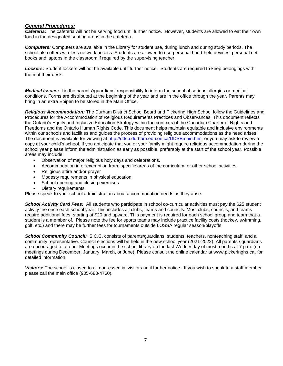#### *General Procedures:*

*Cafeteria:* The cafeteria will not be serving food until further notice. However, students are allowed to eat their own food in the designated seating areas in the cafeteria.

*Computers:* Computers are available in the Library for student use, during lunch and during study periods. The school also offers wireless network access. Students are allowed to use personal hand-held devices, personal net books and laptops in the classroom if required by the supervising teacher.

*Lockers:* Student lockers will not be available until further notice. Students are required to keep belongings with them at their desk.

*Medical Issues:* It is the parents'/guardians' responsibility to inform the school of serious allergies or medical conditions. Forms are distributed at the beginning of the year and are in the office through the year. Parents may bring in an extra Epipen to be stored in the Main Office.

*Religious Accommodation:* The Durham District School Board and Pickering High School follow the Guidelines and Procedures for the Accommodation of Religious Requirements Practices and Observances. This document reflects the Ontario's Equity and Inclusive Education Strategy within the contexts of the Canadian Charter of Rights and Freedoms and the Ontario Human Rights Code. This document helps maintain equitable and inclusive environments within our schools and facilities and guides the process of providing religious accommodations as the need arises. The document is available for viewing at<http://ddsb.durham.edu.on.ca/DDSBmain.htm> or you may ask to review a copy at your child's school. If you anticipate that you or your family might require religious accommodation during the school year please inform the administration as early as possible, preferably at the start of the school year. Possible areas may include:

- Observation of major religious holy days and celebrations.
- Accommodation in or exemption from, specific areas of the curriculum, or other school activities.
- Religious attire and/or prayer
- Modesty requirements in physical education.
- School opening and closing exercises
- Dietary requirements

Please speak to your school administration about accommodation needs as they arise.

*School Activity Card Fees:* All students who participate in school co-curricular activities must pay the \$25 student activity fee once each school year. This includes all clubs, teams and councils. Most clubs, councils, and teams require additional fees; starting at \$20 and upward. This payment is required for each school group and team that a student is a member of. Please note the fee for sports teams may include practice facility costs (hockey, swimming, golf, etc.) and there may be further fees for tournaments outside LOSSA regular season/playoffs.

*School Community Council:* S.C.C. consists of parents/guardians, students, teachers, nonteaching staff, and a community representative. Council elections will be held in the new school year (2021-2022). All parents / guardians are encouraged to attend. Meetings occur in the school library on the last Wednesday of most months at 7 p.m. (no meetings during December, January, March, or June). Please consult the online calendar at www.pickeringhs.ca, for detailed information.

*Visitors:* The school is closed to all non-essential visitors until further notice. If you wish to speak to a staff member please call the main office (905-683-4760).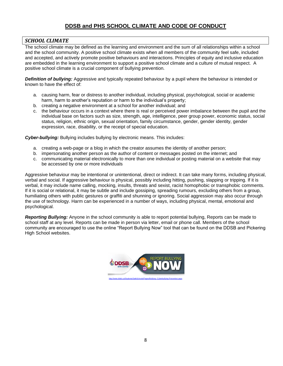### **DDSB and PHS SCHOOL CLIMATE AND CODE OF CONDUCT**

#### *SCHOOL CLIMATE*

The school climate may be defined as the learning and environment and the sum of all relationships within a school and the school community. A positive school climate exists when all members of the community feel safe, included and accepted, and actively promote positive behaviours and interactions. Principles of equity and inclusive education are embedded in the learning environment to support a positive school climate and a culture of mutual respect. A positive school climate is a crucial component of bullying prevention.

*Definition of bullying:* Aggressive and typically repeated behaviour by a pupil where the behaviour is intended or known to have the effect of:

- a. causing harm, fear or distress to another individual, including physical, psychological, social or academic harm, harm to another's reputation or harm to the individual's property;
- b. creating a negative environment at a school for another individual; and
- c. the behaviour occurs in a context where there is real or perceived power imbalance between the pupil and the individual base on factors such as size, strength, age, intelligence, peer group power, economic status, social status, religion, ethnic origin, sexual orientation, family circumstance, gender, gender identity, gender expression, race, disability, or the receipt of special education.

*Cyber-bullying:* Bullying includes bullying by electronic means. This includes:

- a. creating a web-page or a blog in which the creator assumes the identity of another person;
- b. impersonating another person as the author of content or messages posted on the internet; and
- c. communicating material electronically to more than one individual or posting material on a website that may be accessed by one or more individuals

Aggressive behaviour may be intentional or unintentional, direct or indirect. It can take many forms, including physical, verbal and social. If aggressive behaviour is physical, possibly including hitting, pushing, slapping or tripping. If it is verbal, it may include name calling, mocking, insults, threats and sexist, racist homophobic or transphobic comments. If it is social or relational, it may be subtle and include gossiping, spreading rumours, excluding others from a group, humiliating others with public gestures or graffiti and shunning or ignoring. Social aggression may also occur through the use of technology. Harm can be experienced in a number of ways, including physical, mental, emotional and psychological.

*Reporting Bullying:* Anyone in the school community is able to report potential bullying, Reports can be made to school staff at any level. Reports can be made in person via letter, email or phone call. Members of the school community are encouraged to use the online "Report Bullying Now" tool that can be found on the DDSB and Pickering High School websites.

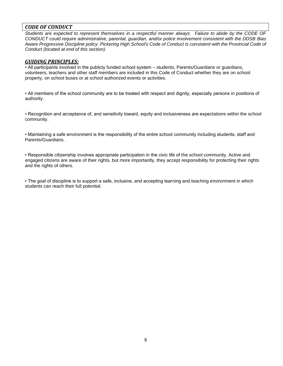### *CODE OF CONDUCT*

*Students are expected to represent themselves in a respectful manner always. Failure to abide by the CODE OF CONDUCT could require administrative, parental, guardian, and/or police involvement consistent with the DDSB Bias Aware Progressive Discipline policy. Pickering High School's Code of Conduct is consistent with the Provincial Code of Conduct (located at end of this section).*

#### *GUIDING PRINCIPLES:*

• All participants involved in the publicly funded school system – students, Parents/Guardians or guardians, volunteers, teachers and other staff members are included in this Code of Conduct whether they are on school property, on school buses or at school authorized events or activities.

• All members of the school community are to be treated with respect and dignity, especially persons in positions of authority.

• Recognition and acceptance of, and sensitivity toward, equity and inclusiveness are expectations within the school community.

• Maintaining a safe environment is the responsibility of the entire school community including students, staff and Parents/Guardians.

• Responsible citizenship involves appropriate participation in the civic life of the school community. Active and engaged citizens are aware of their rights, but more importantly, they accept responsibility for protecting their rights and the rights of others.

• The goal of discipline is to support a safe, inclusive, and accepting learning and teaching environment in which students can reach their full potential.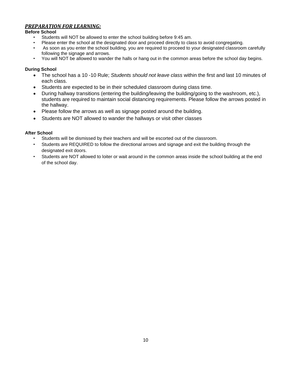### *PREPARATION FOR LEARNING:*

#### **Before School**

- Students will NOT be allowed to enter the school building before 9:45 am.
- Please enter the school at the designated door and proceed directly to class to avoid congregating.
- As soon as you enter the school building, you are required to proceed to your designated classroom carefully following the signage and arrows.
- You will NOT be allowed to wander the halls or hang out in the common areas before the school day begins.

#### **During School**

- The school has a 10 -10 Rule; *Students should not leave class* within the first and last 10 minutes of each class.
- Students are expected to be in their scheduled classroom during class time.
- During hallway transitions (entering the building/leaving the building/going to the washroom, etc.), students are required to maintain social distancing requirements. Please follow the arrows posted in the hallway.
- Please follow the arrows as well as signage posted around the building.
- Students are NOT allowed to wander the hallways or visit other classes

#### **After School**

- Students will be dismissed by their teachers and will be escorted out of the classroom.
- Students are REQUIRED to follow the directional arrows and signage and exit the building through the designated exit doors.
- Students are NOT allowed to loiter or wait around in the common areas inside the school building at the end of the school day.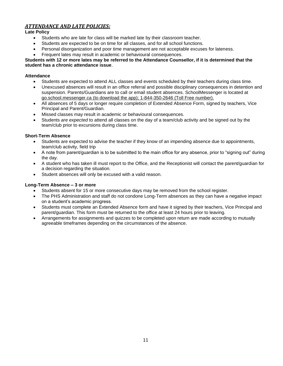### *ATTENDANCE AND LATE POLICIES:*

#### **Late Policy**

- Students who are late for class will be marked late by their classroom teacher.
- Students are expected to be on time for all classes, and for all school functions.
- Personal disorganization and poor time management are not acceptable excuses for lateness.
- Frequent lates may result in academic or behavioural consequences.

#### **Students with 12 or more lates may be referred to the Attendance Counsellor, if it is determined that the student has a chronic attendance issue**.

#### **Attendance**

- Students are expected to attend ALL classes and events scheduled by their teachers during class time.
- Unexcused absences will result in an office referral and possible disciplinary consequences in detention and suspension. Parents/Guardians are to call or email student absences. SchoolMessenger is located at go.school.messenger.ca (to download the app); 1-844-350-2646 (Toll Free number).
- All absences of 5 days or longer require completion of Extended Absence Form, signed by teachers, Vice Principal and Parent/Guardian.
- Missed classes may result in academic or behavioural consequences.
- Students *are expected* to attend all classes on the day of a team/club activity and be signed out by the team/club prior to excursions during class time.

#### **Short-Term Absence**

- Students are expected to advise the teacher if they know of an impending absence due to appointments, team/club activity, field trip
- A note from parent/guardian is to be submitted to the main office for any absence, prior to "signing out" during the day.
- A student who has taken ill must report to the Office, and the Receptionist will contact the parent/guardian for a decision regarding the situation.
- Student absences will only be excused with a valid reason.

#### **Long-Term Absence – 3 or more**

- Students absent for 15 or more consecutive days may be removed from the school register.
- The PHS Administration and staff do not condone Long-Term absences as they can have a negative impact on a student's academic progress.
- Students must complete an Extended Absence form and have it signed by their teachers, Vice Principal and parent/guardian. This form must be returned to the office at least 24 hours prior to leaving.
- Arrangements for assignments and quizzes to be completed upon return are made according to mutually agreeable timeframes depending on the circumstances of the absence.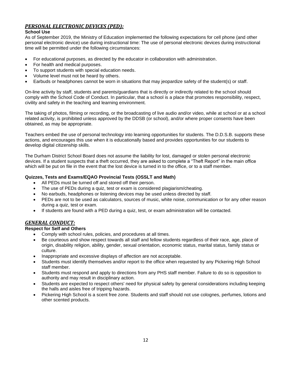### *PERSONAL ELECTRONIC DEVICES (PED):*

#### **School Use**

As of September 2019, the Ministry of Education implemented the following expectations for cell phone (and other personal electronic device) use during instructional time: The use of personal electronic devices during instructional time will be permitted under the following circumstances:

- For educational purposes, as directed by the educator in collaboration with administration.
- For health and medical purposes.
- To support students with special education needs.
- Volume level must not be heard by others.
- Earbuds or headphones cannot be worn in situations that may jeopardize safety of the student(s) or staff.

On-line activity by staff, students and parents/guardians that is directly or indirectly related to the school should comply with the School Code of Conduct. In particular, that a school is a place that promotes responsibility, respect, civility and safety in the teaching and learning environment.

The taking of photos, filming or recording, or the broadcasting of live audio and/or video, while at school or at a school related activity, is prohibited unless approved by the DDSB (or school), and/or where proper consents have been obtained, as may be appropriate.

Teachers embed the use of personal technology into learning opportunities for students. The D.D.S.B. supports these actions, and encourages this use when it is educationally based and provides opportunities for our students to develop digital citizenship skills.

The Durham District School Board does not assume the liability for lost, damaged or stolen personal electronic devices. If a student suspects that a theft occurred, they are asked to complete a "Theft Report" in the main office which will be put on file in the event that the lost device is turned in to the office, or to a staff member.

#### **Quizzes, Tests and Exams/EQAO Provincial Tests (OSSLT and Math)**

- All PEDs must be turned off and stored off their person.
- The use of PEDs during a quiz, test or exam is considered plagiarism/cheating.
- No earbuds, headphones or listening devices may be used unless directed by staff.
- PEDs are not to be used as calculators, sources of music, white noise, communication or for any other reason during a quiz, test or exam.
- If students are found with a PED during a quiz, test, or exam administration will be contacted.

#### *GENERAL CONDUCT:*

#### **Respect for Self and Others**

- Comply with school rules, policies, and procedures at all times.
- Be courteous and show respect towards all staff and fellow students regardless of their race, age, place of origin, disability religion, ability, gender, sexual orientation, economic status, marital status, family status or culture.
- Inappropriate and excessive displays of affection are not acceptable.
- Students must identify themselves and/or report to the office when requested by any Pickering High School staff member.
- Students must respond and apply to directions from any PHS staff member. Failure to do so is opposition to authority and may result in disciplinary action.
- Students are expected to respect others' need for physical safety by general considerations including keeping the halls and aisles free of tripping hazards.
- Pickering High School is a scent free zone. Students and staff should not use colognes, perfumes, lotions and other scented products.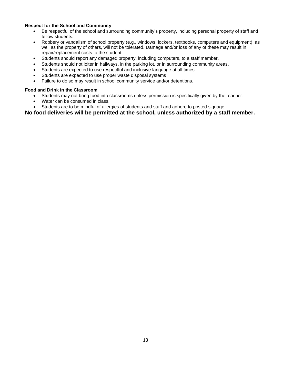#### **Respect for the School and Community**

- Be respectful of the school and surrounding community's property, including personal property of staff and fellow students.
- Robbery or vandalism of school property (e.g., windows, lockers, textbooks, computers and equipment), as well as the property of others, will not be tolerated. Damage and/or loss of any of these may result in repair/replacement costs to the student.
- Students should report any damaged property, including computers, to a staff member.
- Students should not loiter in hallways, in the parking lot, or in surrounding community areas.
- Students are expected to use respectful and inclusive language at all times.
- Students are expected to use proper waste disposal systems
- Failure to do so may result in school community service and/or detentions.

#### **Food and Drink in the Classroom**

- Students may not bring food into classrooms unless permission is specifically given by the teacher.
- Water can be consumed in class.
- Students are to be mindful of allergies of students and staff and adhere to posted signage.

#### **No food deliveries will be permitted at the school, unless authorized by a staff member.**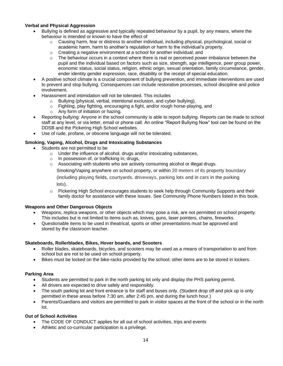#### **Verbal and Physical Aggression**

- Bullying is defined as aggressive and typically repeated behaviour by a pupil, by *any* means, where the behaviour is intended or known to have the effect of
	- $\circ$  Causing harm, fear or distress to another individual, including physical, psychological, social or academic harm, harm to another's reputation or harm to the individual's property.
	- $\circ$  Creating a negative environment at a school for another individual: and
	- $\circ$  The behaviour occurs in a context where there is real or perceived power imbalance between the pupil and the individual based on factors such as size, strength, age intelligence, peer group power, economic status, social status, religion, ethnic origin, sexual orientation, family circumstance, gender, ender identity gender expression, race, disability or the receipt of special education.
- A positive school climate is a crucial component of bullying prevention, and immediate interventions are used to prevent and stop bullying. Consequences can include restorative processes, school discipline and police involvement.
- Harassment and intimidation will not be tolerated. This includes
	- o Bullying (physical, verbal, intentional exclusion, and cyber bullying),
	- $\circ$  Fighting, play fighting, encouraging a fight, and/or rough horse-playing, and
	- o Any form of initiation or hazing.
- Reporting bullying: Anyone in the school community is able to report bullying. Reports can be made to school staff at any level, or via letter, email or phone call. An online "Report Bullying Now" tool can be found on the DDSB and the Pickering High School websites.
- Use of rude, profane, or obscene language will not be tolerated.

#### **Smoking, Vaping, Alcohol, Drugs and Intoxicating Substances**

- Students are not permitted to be
	- o Under the influence of alcohol, drugs and/or intoxicating substances,
	- o In possession of, or trafficking in, drugs,
	- $\circ$  Associating with students who are actively consuming alcohol or illegal drugs.

Smoking/Vaping anywhere on school property, or within 20 meters of its property boundary

(including playing fields, courtyards, driveways, parking lots and in cars in the parking lots).

o Pickering High School encourages students to seek help through Community Supports and their family doctor for assistance with these issues. See Community Phone Numbers listed in this book.

#### **Weapons and Other Dangerous Objects**

- Weapons, replica weapons, or other objects which may pose a risk, are not permitted on school property. This includes but is not limited to items such as, knives, guns, laser pointers, chains, fireworks.
- Questionable items to be used in theatrical, sports or other presentations must be approved and stored by the classroom teacher.

#### **Skateboards, Rollerblades, Bikes, Hover boards, and Scooters**

- Roller blades, skateboards, bicycles, and scooters may be used as a means of transportation to and from school but are not to be used on school property.
- Bikes must be locked on the bike-racks provided by the school; other items are to be stored in lockers.

#### **Parking Area**

- Students are permitted to park in the north parking lot only and display the PHS parking permit.
- All drivers are expected to drive safely and responsibly.
- The south parking lot and front entrance is for staff and buses only. (Student drop off and pick up is only permitted in these areas before 7:30 am, after 2:45 pm, and during the lunch hour.)
- Parents/Guardians and visitors are permitted to park in visitor spaces at the front of the school or in the north lot.

#### **Out of School Activities**

- The CODE OF CONDUCT applies for all out of school activities, trips and events
- Athletic and co-curricular participation is a privilege.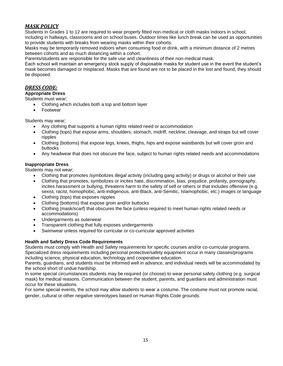### *MASK POLICY*

Students in Grades 1 to 12 are required to wear properly fitted non-medical or cloth masks indoors in school, including in hallways, classrooms and on school buses. Outdoor times like lunch break can be used as opportunities

to provide students with breaks from wearing masks within their cohorts. Masks may be temporarily removed indoors when consuming food or drink, with a minimum distance of 2 metres

between cohorts and as much distancing within a cohort.

Parents/students are responsible for the safe use and cleanliness of their non-medical mask.

Each school will maintain an emergency stock supply of disposable masks for student use in the event the student's mask becomes damaged or misplaced. Masks that are found are not to be placed in the lost and found, they should be disposed.

#### *DRESS CODE:*

#### **Appropriate Dress**

#### Students must wear;

- Clothing which includes both a top and bottom layer
- Footwear

#### Students may wear;

- Any clothing that supports a human rights related need or accommodation
- Clothing (tops) that expose arms, shoulders, stomach, midriff, neckline, cleavage, and straps but will cover nipples
- Clothing (bottoms) that expose legs, knees, thighs, hips and expose waistbands but will cover groin and buttocks
- Any headwear that does not obscure the face, subject to human rights related needs and accommodations

#### **Inappropriate Dress**

Students may not wear;

- Clothing that promotes /symbolizes illegal activity (including gang activity) or drugs or alcohol or their use
- Clothing that promotes, symbolizes or incites hate, discrimination, bias, prejudice, profanity, pornography, incites harassment or bullying, threatens harm to the safety of self or others or that includes offensive (e.g. sexist, racist, homophobic, anti-indigenous, anti-Black, anti-Semitic, Islamophobic, etc.) images or language
- Clothing (tops) that exposes nipples
- Clothing (bottoms) that expose groin and/or buttocks
- Clothing (mask/scarf) that obscures the face (unless required to meet human rights related needs or accommodations)
- Undergarments as outerwear
- Transparent clothing that fully exposes undergarments
- Swimwear unless required for curricular or co-curricular approved activities

#### **Health and Safety Dress Code Requirements**

Students must comply with Health and Safety requirements for specific courses and/or co-curricular programs. Specialized dress requirements including personal protective/safety equipment occur in many classes/programs including science, physical education, technology and cooperative education.

Parents, guardians, and students must be informed well in advance, and individual needs will be accommodated by the school short of undue hardship.

In some special circumstances students may be required (or choose) to wear personal safety clothing (e.g. surgical mask) for medical reasons. Communication between the student, parents, and guardians and administration must occur for these situations.

For some special events, the school may allow students to wear a costume. The costume must not promote racial, gender, cultural or other negative stereotypes based on Human Rights Code grounds.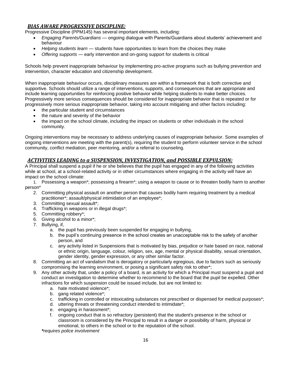### *BIAS AWARE PROGRESSIVE DISCIPLINE:*

Progressive Discipline (PPM145) has several important elements, including:

- *Engaging Parents/Guardians* ongoing dialogue with Parents/Guardians about students' achievement and behaviour
- *Helping students learn* students have opportunities to learn from the choices they make
- *Offering supports* early intervention and on-going support for students is critical

Schools help prevent inappropriate behaviour by implementing pro-active programs such as bullying prevention and intervention, character education and citizenship development.

When inappropriate behaviour occurs, disciplinary measures are within a framework that is both corrective and supportive. Schools should utilize a range of interventions, supports, and consequences that are appropriate and include learning opportunities for reinforcing positive behavior while helping students to make better choices. Progressively more serious consequences should be considered for inappropriate behavior that is repeated or for progressively more serious inappropriate behavior, taking into account mitigating and other factors including:

- the particular student and circumstances
- the nature and severity of the behavior
- the impact on the school climate, including the impact on students or other individuals in the school community.

Ongoing interventions may be necessary to address underlying causes of inappropriate behavior. Some examples of ongoing interventions are meeting with the parent(s), requiring the student to perform volunteer service in the school community, conflict mediation, peer mentoring, and/or a referral to counseling.

#### *ACTIVITIES LEADING to a SUSPENSION, INVESTIGATION, and POSSIBLE EXPULSION:*

A Principal shall suspend a pupil if he or she believes that the pupil has engaged in any of the following activities while at school, at a school-related activity or in other circumstances where engaging in the activity will have an impact on the school climate:

1. Possessing a weapon\*; possessing a firearm\*; using a weapon to cause or to threaten bodily harm to another person\*

- 2. Committing physical assault on another person that causes bodily harm requiring treatment by a medical practitioner\*; assault/physical intimidation of an employee\*;
- 3. Committing sexual assault\*;
- 4. Trafficking in weapons or in illegal drugs\*;
- 5. Committing robbery\*;
- 6. Giving alcohol to a minor\*;
- 7. Bullying, if,
	- a. the pupil has previously been suspended for engaging in bullying,
	- b. the pupil's continuing presence in the school creates an unacceptable risk to the safety of another person, and
	- c. any activity listed in Suspensions that is motivated by bias, prejudice or hate based on race, national or ethnic origin, language, colour, religion, sex, age, mental or physical disability, sexual orientation, gender identity, gender expression, or any other similar factor.
- 8. Committing an act of vandalism that is derogatory or particularly egregious, due to factors such as seriously compromising the learning environment, or posing a significant safety risk to other\*;
- 9. Any other activity that, under a policy of a board, is an activity for which a Principal must suspend a pupil and conduct an investigation to determine whether to recommend to the board that the pupil be expelled. Other infractions for which suspension could be issued include, but are not limited to:
	- a. hate motivated violence\*;
	- b. gang related violence\*;
	- c. trafficking in controlled or intoxicating substances not prescribed or dispensed for medical purposes\*;
	- d. uttering threats or threatening conduct intended to intimidate\*;
	- e. engaging in harassment\*;
	- f. ongoing conduct that is so refractory (persistent) that the student's presence in the school or classroom is considered by the Principal to result in a danger or possibility of harm, physical or emotional, to others in the school or to the reputation of the school.

*\*requires police involvement*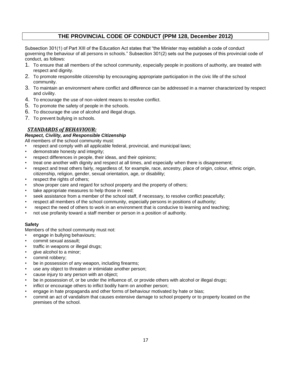### **THE PROVINCIAL CODE OF CONDUCT (PPM 128, December 2012)**

Subsection 301(1) of Part XIII of the Education Act states that "the Minister may establish a code of conduct governing the behaviour of all persons in schools." Subsection 301(2) sets out the purposes of this provincial code of conduct, as follows:

- 1. To ensure that all members of the school community, especially people in positions of authority, are treated with respect and dignity.
- 2. To promote responsible citizenship by encouraging appropriate participation in the civic life of the school community.
- 3. To maintain an environment where conflict and difference can be addressed in a manner characterized by respect and civility.
- 4. To encourage the use of non-violent means to resolve conflict.
- 5. To promote the safety of people in the schools.
- 6. To discourage the use of alcohol and illegal drugs.
- 7. To prevent bullying in schools.

### *STANDARDS of BEHAVIOUR:*

#### *Respect, Civility, and Responsible Citizenship*

All members of the school community must:

- respect and comply with all applicable federal, provincial, and municipal laws;
- demonstrate honesty and integrity;
- respect differences in people, their ideas, and their opinions;
- treat one another with dignity and respect at all times, and especially when there is disagreement;
- respect and treat others fairly, regardless of, for example, race, ancestry, place of origin, colour, ethnic origin, citizenship, religion, gender, sexual orientation, age, or disability;
- respect the rights of others;
- show proper care and regard for school property and the property of others;
- take appropriate measures to help those in need;
- seek assistance from a member of the school staff, if necessary, to resolve conflict peacefully;
- respect all members of the school community, especially persons in positions of authority;
- respect the need of others to work in an environment that is conducive to learning and teaching;
- not use profanity toward a staff member or person in a position of authority.

#### **Safety**

Members of the school community must not:

- engage in bullying behaviours;
- commit sexual assault;
- traffic in weapons or illegal drugs;
- give alcohol to a minor;
- commit robbery:
- be in possession of any weapon, including firearms;
- use any object to threaten or intimidate another person;
- cause injury to any person with an object;
- be in possession of, or be under the influence of, or provide others with alcohol or illegal drugs;
- inflict or encourage others to inflict bodily harm on another person;
- engage in hate propaganda and other forms of behaviour motivated by hate or bias;
- commit an act of vandalism that causes extensive damage to school property or to property located on the premises of the school.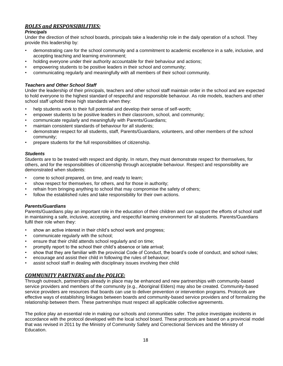### *ROLES and RESPONSIBILITIES:*

#### *Principals*

Under the direction of their school boards, principals take a leadership role in the daily operation of a school. They provide this leadership by:

- demonstrating care for the school community and a commitment to academic excellence in a safe, inclusive, and accepting teaching and learning environment;
- holding everyone under their authority accountable for their behaviour and actions;
- empowering students to be positive leaders in their school and community;
- communicating regularly and meaningfully with all members of their school community.

#### *Teachers and Other School Staff*

Under the leadership of their principals, teachers and other school staff maintain order in the school and are expected to hold everyone to the highest standard of respectful and responsible behaviour. As role models, teachers and other school staff uphold these high standards when they:

- help students work to their full potential and develop their sense of self-worth;
- empower students to be positive leaders in their classroom, school, and community;
- communicate regularly and meaningfully with Parents/Guardians;
- maintain consistent standards of behaviour for all students:
- demonstrate respect for all students, staff, Parents/Guardians, volunteers, and other members of the school community;
- prepare students for the full responsibilities of citizenship.

#### *Students*

Students are to be treated with respect and dignity. In return, they must demonstrate respect for themselves, for others, and for the responsibilities of citizenship through acceptable behaviour. Respect and responsibility are demonstrated when students:

- come to school prepared, on time, and ready to learn;
- show respect for themselves, for others, and for those in authority;
- refrain from bringing anything to school that may compromise the safety of others;
- follow the established rules and take responsibility for their own actions.

#### *Parents/Guardians*

Parents/Guardians play an important role in the education of their children and can support the efforts of school staff in maintaining a safe, inclusive, accepting, and respectful learning environment for all students. Parents/Guardians fulfil their role when they:

- show an active interest in their child's school work and progress;
- communicate regularly with the school;
- ensure that their child attends school regularly and on time;
- promptly report to the school their child's absence or late arrival;
- show that they are familiar with the provincial Code of Conduct, the board's code of conduct, and school rules;
- encourage and assist their child in following the rules of behaviour;
- assist school staff in dealing with disciplinary issues involving their child

#### *COMMUNITY PARTNERS and the POLICE:*

Through outreach, partnerships already in place may be enhanced and new partnerships with community-based service providers and members of the community (e.g., Aboriginal Elders) may also be created. Community-based service providers are resources that boards can use to deliver prevention or intervention programs. Protocols are effective ways of establishing linkages between boards and community-based service providers and of formalizing the relationship between them. These partnerships must respect all applicable collective agreements.

The police play an essential role in making our schools and communities safer. The police investigate incidents in accordance with the protocol developed with the local school board. These protocols are based on a provincial model that was revised in 2011 by the Ministry of Community Safety and Correctional Services and the Ministry of Education.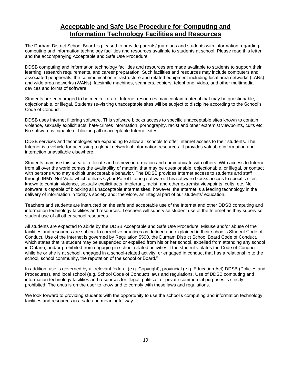## **Acceptable and Safe Use Procedure for Computing and Information Technology Facilities and Resources**

The Durham District School Board is pleased to provide parents/guardians and students with information regarding computing and information technology facilities and resources available to students at school. Please read this letter and the accompanying Acceptable and Safe Use Procedure.

DDSB computing and information technology facilities and resources are made available to students to support their learning, research requirements, and career preparation. Such facilities and resources may include computers and associated peripherals, the communication infrastructure and related equipment including local area networks (LANs) and wide area networks (WANs), facsimile machines, scanners, copiers, telephone, video, and other multimedia devices and forms of software.

Students are encouraged to be media literate. Internet resources may contain material that may be questionable, objectionable, or illegal. Students re-visiting unacceptable sites will be subject to discipline according to the School's Code of Conduct.

DDSB uses Internet filtering software. This software blocks access to specific unacceptable sites known to contain violence, sexually explicit acts, hate-crimes information, pornography, racist and other extremist viewpoints, cults etc. No software is capable of blocking all unacceptable Internet sites.

DDSB services and technologies are expanding to allow all schools to offer Internet access to their students. The Internet is a vehicle for accessing a global network of information resources. It provides valuable information and interaction unavailable elsewhere.

Students may use this service to locate and retrieve information and communicate with others. With access to Internet from all over the world comes the availability of material that may be questionable, objectionable, or illegal, or contact with persons who may exhibit unacceptable behavior. The DDSB provides Internet access to students and staff through IBM's Net Vista which utilizes Cyber Patrol filtering software. This software blocks access to specific sites known to contain violence, sexually explicit acts, intolerant, racist, and other extremist viewpoints, cults, etc. No software is capable of blocking all unacceptable Internet sites; however, the Internet is a leading technology in the delivery of information in today's society and; therefore, an integral part of our students' education.

Teachers and students are instructed on the safe and acceptable use of the Internet and other DDSB computing and information technology facilities and resources. Teachers will supervise student use of the Internet as they supervise student use of all other school resources.

All students are expected to abide by the DDSB Acceptable and Safe Use Procedure. Misuse and/or abuse of the facilities and resources are subject to corrective practices as defined and explained in their school's Student Code of Conduct. Use of the Internet is governed by Regulation 5500, the Durham District School Board Code of Conduct, which states that "a student may be suspended or expelled from his or her school, expelled from attending any school in Ontario, and/or prohibited from engaging in school-related activities if the student violates the Code of Conduct while he or she is at school, engaged in a school-related activity, or engaged in conduct that has a relationship to the school, school community, the reputation of the school or Board."

In addition, use is governed by all relevant federal (e.g. Copyright), provincial (e.g. Education Act) DDSB (Policies and Procedures), and local school (e.g. School Code of Conduct) laws and regulations. Use of DDSB computing and information technology facilities and resources for illegal, political, or private commercial purposes is strictly prohibited. The onus is on the user to know and to comply with these laws and regulations.

We look forward to providing students with the opportunity to use the school's computing and information technology facilities and resources in a safe and meaningful way.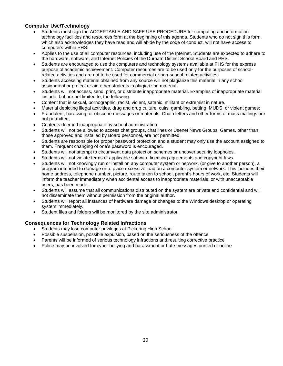#### **Computer Use/Technology**

- Students must sign the ACCEPTABLE AND SAFE USE PROCEDURE for computing and information technology facilities and resources form at the beginning of this agenda. Students who do not sign this form, which also acknowledges they have read and will abide by the code of conduct, will not have access to computers within PHS.
- Applies to the use of all computer resources, including use of the Internet. Students are expected to adhere to the hardware, software, and Internet Policies of the Durham District School Board and PHS.
- Students are encouraged to use the computers and technology systems available at PHS for the express purpose of academic achievement. Computer resources are to be used only for the purposes of schoolrelated activities and are not to be used for commercial or non-school related activities.
- Students accessing material obtained from any source will not plagiarize this material in any school assignment or project or aid other students in plagiarizing material.
- Students will not access, send, print, or distribute inappropriate material. Examples of inappropriate material include, but are not limited to, the following:
- Content that is sexual, pornographic, racist, violent, satanic, militant or extremist in nature.
- Material depicting illegal activities, drug and drug culture, cults, gambling, betting, MUDS, or violent games;
- Fraudulent, harassing, or obscene messages or materials. Chain letters and other forms of mass mailings are not permitted;
- Contents deemed inappropriate by school administration.
- Students will not be allowed to access chat groups, chat lines or Usenet News Groups. Games, other than those approved and installed by Board personnel, are not permitted.
- Students are responsible for proper password protection and a student may only use the account assigned to them. Frequent changing of one's password is encouraged.
- Students will not attempt to circumvent data protection schemes or uncover security loopholes.
- Students will not violate terms of applicable software licensing agreements and copyright laws.
- Students will not knowingly run or install on any computer system or network, (or give to another person), a program intended to damage or to place excessive load on a computer system or network. This includes their home address, telephone number, picture, route taken to school, parent's hours of work, etc. Students will inform the teacher immediately when accidental access to inappropriate materials, or with unacceptable users, has been made.
- Students will assume that all communications distributed on the system are private and confidential and will not disseminate them without permission from the original author.
- Students will report all instances of hardware damage or changes to the Windows desktop or operating system immediately.
- Student files and folders will be monitored by the site administrator.

#### **Consequences for Technology Related Infractions**

- Students may lose computer privileges at Pickering High School
- Possible suspension, possible expulsion, based on the seriousness of the offence
- Parents will be informed of serious technology infractions and resulting corrective practice
- Police may be involved for cyber bullying and harassment or hate messages printed or online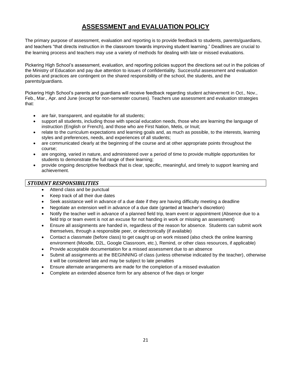## **ASSESSMENT and EVALUATION POLICY**

The primary purpose of assessment, evaluation and reporting is to provide feedback to students, parents/guardians, and teachers "that directs instruction in the classroom towards improving student learning." Deadlines are crucial to the learning process and teachers may use a variety of methods for dealing with late or missed evaluations.

Pickering High School's assessment, evaluation, and reporting policies support the directions set out in the policies of the Ministry of Education and pay due attention to issues of confidentiality. Successful assessment and evaluation policies and practices are contingent on the shared responsibility of the school, the students, and the parents/guardians.

Pickering High School's parents and guardians will receive feedback regarding student achievement in Oct., Nov., Feb., Mar., Apr. and June (except for non-semester courses). Teachers use assessment and evaluation strategies that:

- are fair, transparent, and equitable for all students;
- support all students, including those with special education needs, those who are learning the language of instruction (English or French), and those who are First Nation, Metis, or Inuit;
- relate to the curriculum expectations and learning goals and, as much as possible, to the interests, learning styles and preferences, needs, and experiences of all students;
- are communicated clearly at the beginning of the course and at other appropriate points throughout the course;
- are ongoing, varied in nature, and administered over a period of time to provide multiple opportunities for students to demonstrate the full range of their learning;
- provide ongoing descriptive feedback that is clear, specific, meaningful, and timely to support learning and achievement.

#### *STUDENT RESPONSIBILITIES*

- Attend class and be punctual
- Keep track of all their due dates
- Seek assistance well in advance of a due date if they are having difficulty meeting a deadline
- Negotiate an extension well in advance of a due date (granted at teacher's discretion)
- Notify the teacher well in advance of a planned field trip, team event or appointment (Absence due to a field trip or team event is not an excuse for not handing in work or missing an assessment)
- Ensure all assignments are handed in, regardless of the reason for absence. Students can submit work themselves, through a responsible peer, or electronically (if available)
- Contact a classmate (before class) to get caught up on work missed (also check the online learning environment (Moodle, D2L, Google Classroom, etc.), Remind, or other class resources, if applicable)
- Provide acceptable documentation for a missed assessment due to an absence
- Submit all assignments at the BEGINNING of class (unless otherwise indicated by the teacher), otherwise it will be considered late and may be subject to late penalties
- Ensure alternate arrangements are made for the completion of a missed evaluation
- Complete an extended absence form for any absence of five days or longer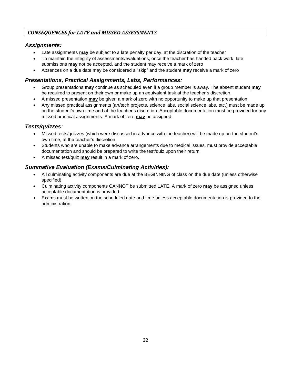### *CONSEQUENCES for LATE and MISSED ASSESSMENTS*

### *Assignments:*

- Late assignments **may** be subject to a late penalty per day, at the discretion of the teacher
- To maintain the integrity of assessments/evaluations, once the teacher has handed back work, late submissions **may** not be accepted, and the student may receive a mark of zero
- Absences on a due date may be considered a "skip" and the student **may** receive a mark of zero

### *Presentations, Practical Assignments, Labs, Performances:*

- Group presentations **may** continue as scheduled even if a group member is away. The absent student **may** be required to present on their own or make up an equivalent task at the teacher's discretion.
- A missed presentation **may** be given a mark of zero with no opportunity to make up that presentation.
- Any missed practical assignments (art/tech projects, science labs, social science labs, etc.) must be made up on the student's own time and at the teacher's discretion. Acceptable documentation must be provided for any missed practical assignments. A mark of zero **may** be assigned.

### *Tests/quizzes:*

- Missed tests/quizzes (which were discussed in advance with the teacher) will be made up on the student's own time, at the teacher's discretion.
- Students who are unable to make advance arrangements due to medical issues, must provide acceptable documentation and should be prepared to write the test/quiz upon their return.
- A missed test/quiz **may** result in a mark of zero.

### *Summative Evaluation (Exams/Culminating Activities):*

- All culminating activity components are due at the BEGINNING of class on the due date (unless otherwise specified).
- Culminating activity components CANNOT be submitted LATE. A mark of zero **may** be assigned unless acceptable documentation is provided.
- Exams must be written on the scheduled date and time unless acceptable documentation is provided to the administration.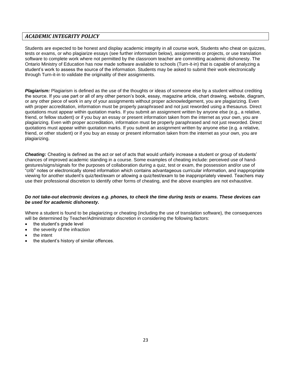#### *ACADEMIC INTEGRITY POLICY*

Students are expected to be honest and display academic integrity in all course work, Students who cheat on quizzes, tests or exams, or who plagiarize essays (see further information below), assignments or projects, or use translation software to complete work where not permitted by the classroom teacher are committing academic dishonesty. The Ontario Ministry of Education has now made software available to schools (Turn-it-in) that is capable of analyzing a student's work to assess the source of the information. Students may be asked to submit their work electronically through Turn-it-in to validate the originality of their assignments.

*Plagiarism:* Plagiarism is defined as the use of the thoughts or ideas of someone else by a student without crediting the source. If you use part or all of any other person's book, essay, magazine article, chart drawing, website, diagram, or any other piece of work in any of your assignments without proper acknowledgement, you are plagiarizing. Even with proper accreditation, information must be properly paraphrased and not just reworded using a thesaurus. Direct quotations must appear within quotation marks. If you submit an assignment written by anyone else (e.g., a relative, friend, or fellow student) or if you buy an essay or present information taken from the internet as your own, you are plagiarizing. Even with proper accreditation, information must be properly paraphrased and not just reworded. Direct quotations must appear within quotation marks. If you submit an assignment written by anyone else (e.g. a relative, friend, or other student) or if you buy an essay or present information taken from the internet as your own, you are plagiarizing.

*Cheating:* Cheating is defined as the act or set of acts that would unfairly increase a student or group of students' chances of improved academic standing in a course. Some examples of cheating include: perceived use of handgestures/signs/signals for the purposes of collaboration during a quiz, test or exam, the possession and/or use of "crib" notes or electronically stored information which contains advantageous curricular information, and inappropriate viewing for another student's quiz/text/exam or allowing a quiz/test/exam to be inappropriately viewed. Teachers may use their professional discretion to identify other forms of cheating, and the above examples are not exhaustive.

#### *Do not take-out electronic devices e.g. phones, to check the time during tests or exams. These devices can be used for academic dishonesty.*

Where a student is found to be plagiarizing or cheating (including the use of translation software), the consequences will be determined by Teacher/Administrator discretion in considering the following factors:

- the student's grade level
- the severity of the infraction
- the intent
- the student's history of similar offences.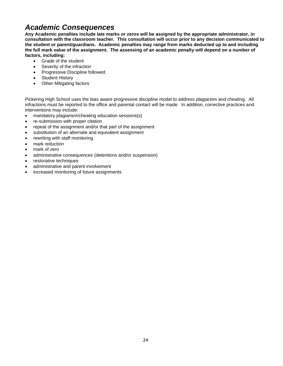## *Academic Consequences*

**Any Academic penalties include late marks or zeros will be assigned by the appropriate administrator, in consultation with the classroom teacher. This consultation will occur prior to any decision communicated to the student or parent/guardians. Academic penalties may range from marks deducted up to and including the full mark value of the assignment. The assessing of an academic penalty will depend on a number of factors, including:**

- Grade of the student
- Severity of the infraction
- Progressive Discipline followed
- **Student History**
- Other Mitigating factors

Pickering High School uses the bias aware progressive discipline model to address plagiarism and cheating. All infractions must be reported to the office and parental contact will be made. In addition, corrective practices and interventions may include:

- mandatory plagiarism/cheating education sessions(s)
- re-submission with proper citation
- repeat of the assignment and/or that part of the assignment
- substitution of an alternate and equivalent assignment
- rewriting with staff monitoring
- mark reduction
- mark of zero
- administrative consequences (detentions and/or suspension)
- restorative techniques
- administrative and parent involvement
- increased monitoring of future assignments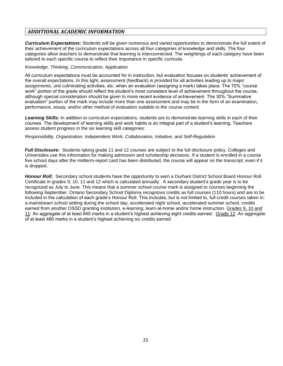### *ADDITIONAL ACADEMIC INFORMATION*

*Curriculum Expectations:* Students will be given numerous and varied opportunities to demonstrate the full extent of their achievement of the curriculum expectations across all four categories of knowledge and skills. The four categories allow teachers to demonstrate that learning is interconnected. The weightings of each category have been tailored to each specific course to reflect their importance in specific curricula.

#### *Knowledge, Thinking, Communication, Application*

All curriculum expectations must be accounted for in instruction, but evaluation focuses on students' achievement of the overall expectations. In this light, assessment (feedback) is provided for all activities leading up to major assignments, unit culminating activities, etc. when an evaluation (assigning a mark) takes place. The 70% "course work" portion of the grade should reflect the student's most consistent level of achievement throughout the course, although special consideration should be given to more recent evidence of achievement. The 30% "Summative evaluation" portion of the mark may include more than one assessment and may be in the form of an examination, performance, essay, and/or other method of evaluation suitable to the course content.

Learning Skills: In addition to curriculum expectations, students are to demonstrate learning skills in each of their courses. The development of learning skills and work habits is an integral part of a student's learning. Teachers assess student progress in the six learning skill categories:

#### *Responsibility, Organization, Independent Work, Collaboration, Initiative, and Self-Regulation*

*Full Disclosure:* Students taking grade 11 and 12 courses are subject to the full disclosure policy. Colleges and Universities use this information for making admission and scholarship decisions. If a student is enrolled in a course five school days after the midterm-report card has been distributed, the course will appear on the transcript, even if it is dropped.

*Honour Roll:* Secondary school students have the opportunity to earn a Durham District School Board Honour Roll Certificate in grades 9, 10, 11 and 12 which is calculated annually. A secondary student's grade year is to be recognized as July to June. This means that a summer school course mark is assigned to courses beginning the following September. Ontario Secondary School Diploma recognizes credits as full courses (110 hours) and are to be included in the calculation of each grade's Honour Roll. This includes, but is not limited to, full-credit courses taken in: a mainstream school setting during the school day, accelerated night school, accelerated summer school, credits earned from another OSSD granting institution, e-learning, learn-at-home and/or home instruction. Grades 9, 10 and 11: An aggregate of at least 640 marks in a student's highest achieving eight credits earned. Grade 12: An aggregate of at least 480 marks in a student's highest achieving six credits earned